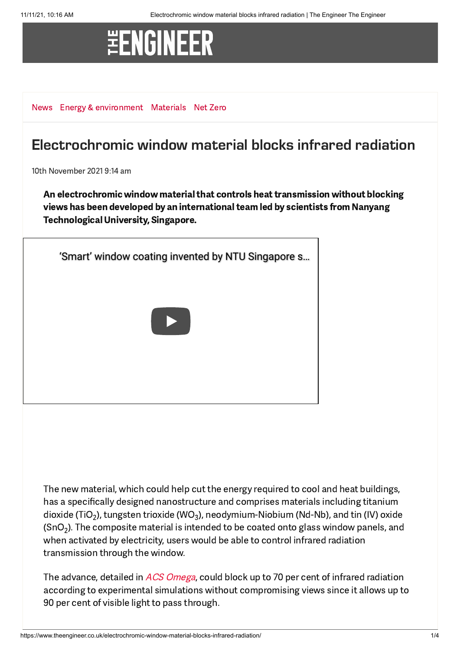## **\#ENGINEER**

[News](https://www.theengineer.co.uk/news/) [Energy & environment](https://www.theengineer.co.uk/energy-and-environment/) [Materials](https://www.theengineer.co.uk/channels/materials/) [Net Zero](https://www.theengineer.co.uk/tag/net-zero/)

## Electrochromic window material blocks infrared radiation

10th November 2021 9:14 am

An electrochromic window material that controls heat transmission without blocking views has been developed by an international team led by scientists from Nanyang Technological University, Singapore.

['Smart' window coating invented by NTU Singapore s…](https://www.youtube.com/watch?v=jJGIxEMZnQw)

The new material, which could help cut the energy required to cool and heat buildings, has a specifically designed nanostructure and comprises materials including titanium dioxide (TiO<sub>2</sub>), tungsten trioxide (WO<sub>3</sub>), neodymium-Niobium (Nd-Nb), and tin (IV) oxide (SnO<sub>2</sub>). The composite material is intended to be coated onto glass window panels, and when activated by electricity, users would be able to control infrared radiation transmission through the window.

The advance, detailed in *ACS [Omega](https://pubs.acs.org/doi/10.1021/acsomega.1c03260)*, could block up to 70 per cent of infrared radiation according to experimental simulations without compromising views since it allows up to 90 per cent of visible light to pass through.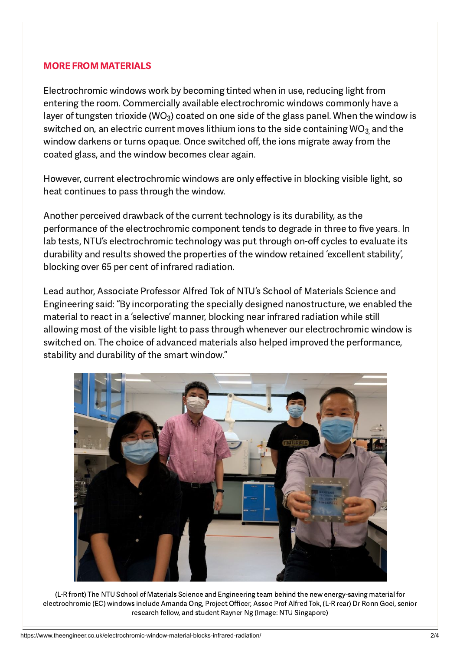## [MORE FROM MATERIALS](https://www.theengineer.co.uk/materials/)

Electrochromic windows work by becoming tinted when in use, reducing light from entering the room. Commercially available electrochromic windows commonly have a layer of tungsten trioxide (WO $_3$ ) coated on one side of the glass panel. When the window is switched on, an electric current moves lithium ions to the side containing WO $_{\rm 3}$  and the window darkens or turns opaque. Once switched off, the ions migrate away from the coated glass, and the window becomes clear again.

However, current electrochromic windows are only effective in blocking visible light, so heat continues to pass through the window.

Another perceived drawback of the current technology is its durability, as the performance of the electrochromic component tends to degrade in three to five years. In lab tests, NTU's electrochromic technology was put through on-off cycles to evaluate its durability and results showed the properties of the window retained 'excellent stability', blocking over 65 per cent of infrared radiation.

Lead author, Associate Professor Alfred Tok of NTU's School of Materials Science and Engineering said: "By incorporating the specially designed nanostructure, we enabled the material to react in a 'selective' manner, blocking near infrared radiation while still allowing most of the visible light to pass through whenever our electrochromic window is switched on. The choice of advanced materials also helped improved the performance, stability and durability of the smart window."



(L-R front) The NTU School of Materials Science and Engineering team behind the new energy-saving material for electrochromic (EC) windows include Amanda Ong, Project Officer, Assoc Prof Alfred Tok, (L-R rear) Dr Ronn Goei, senior research fellow, and student Rayner Ng (Image: NTU Singapore)